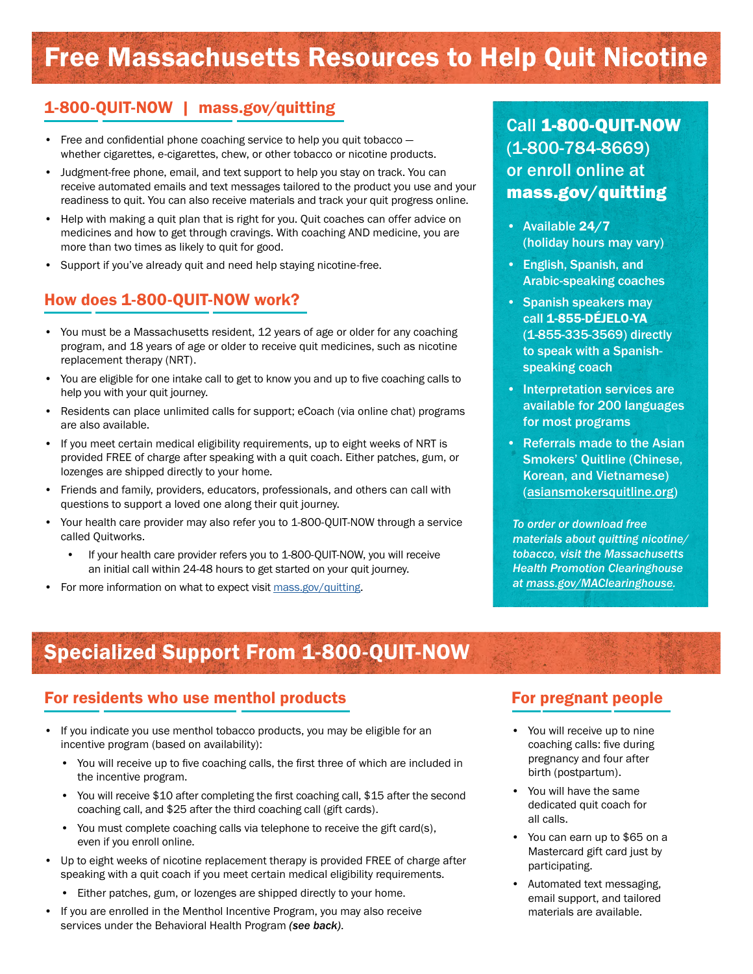# Free Massachusetts Resources to Help Quit Nicotine

#### 1-800-QUIT-NOW | [mass.gov/quitting](http://mass.gov/quitting)

- Free and confidential phone coaching service to help you quit tobacco  $$ whether cigarettes, e-cigarettes, chew, or other tobacco or nicotine products.
- Judgment-free phone, email, and text support to help you stay on track. You can receive automated emails and text messages tailored to the product you use and your readiness to quit. You can also receive materials and track your quit progress online.
- Help with making a quit plan that is right for you. Quit coaches can offer advice on medicines and how to get through cravings. With coaching AND medicine, you are more than two times as likely to quit for good.
- Support if you've already quit and need help staying nicotine-free.

#### How does 1-800-QUIT-NOW work?

- You must be a Massachusetts resident, 12 years of age or older for any coaching program, and 18 years of age or older to receive quit medicines, such as nicotine replacement therapy (NRT).
- You are eligible for one intake call to get to know you and up to five coaching calls to help you with your quit journey.
- Residents can place unlimited calls for support; eCoach (via online chat) programs are also available.
- If you meet certain medical eligibility requirements, up to eight weeks of NRT is provided FREE of charge after speaking with a quit coach. Either patches, gum, or lozenges are shipped directly to your home.
- Friends and family, providers, educators, professionals, and others can call with questions to support a loved one along their quit journey.
- Your health care provider may also refer you to 1-800-QUIT-NOW through a service called Quitworks.
	- If your health care provider refers you to 1-800-QUIT-NOW, you will receive an initial call within 24-48 hours to get started on your quit journey.
- For more information on what to expect visit [mass.gov/quitting](http://mass.gov/quitting).

# Call 1-800-QUIT-NOW (1-800-784-8669) or enroll online at [mass.gov/quitting](http://mass.gov/quitting  )

- Available 24/7 (holiday hours may vary)
- English, Spanish, and Arabic-speaking coaches
- Spanish speakers may call 1-855-DÉJELO-YA (1-855-335-3569) directly to speak with a Spanishspeaking coach
- Interpretation services are available for 200 languages for most programs
- Referrals made to the Asian Smokers' Quitline (Chinese, Korean, and Vietnamese) ([asiansmokersquitline.org\)](http://asiansmokersquitline.org)

*To order or download free materials about quitting nicotine/ tobacco, visit the Massachusetts Health Promotion Clearinghouse at [mass.gov/MAClearinghouse](http://mass.gov/MAClearinghouse).*

# Specialized Support From 1-800-QUIT-NOW

#### For residents who use menthol products

- If you indicate you use menthol tobacco products, you may be eligible for an incentive program (based on availability):
	- You will receive up to five coaching calls, the first three of which are included in the incentive program.
	- You will receive \$10 after completing the first coaching call, \$15 after the second coaching call, and \$25 after the third coaching call (gift cards).
	- You must complete coaching calls via telephone to receive the gift card(s), even if you enroll online.
- Up to eight weeks of nicotine replacement therapy is provided FREE of charge after speaking with a quit coach if you meet certain medical eligibility requirements.
	- Either patches, gum, or lozenges are shipped directly to your home.
- If you are enrolled in the Menthol Incentive Program, you may also receive services under the Behavioral Health Program *(see back)*.

#### For pregnant people

- You will receive up to nine coaching calls: five during pregnancy and four after birth (postpartum).
- You will have the same dedicated quit coach for all calls.
- You can earn up to \$65 on a Mastercard gift card just by participating.
- Automated text messaging, email support, and tailored materials are available.